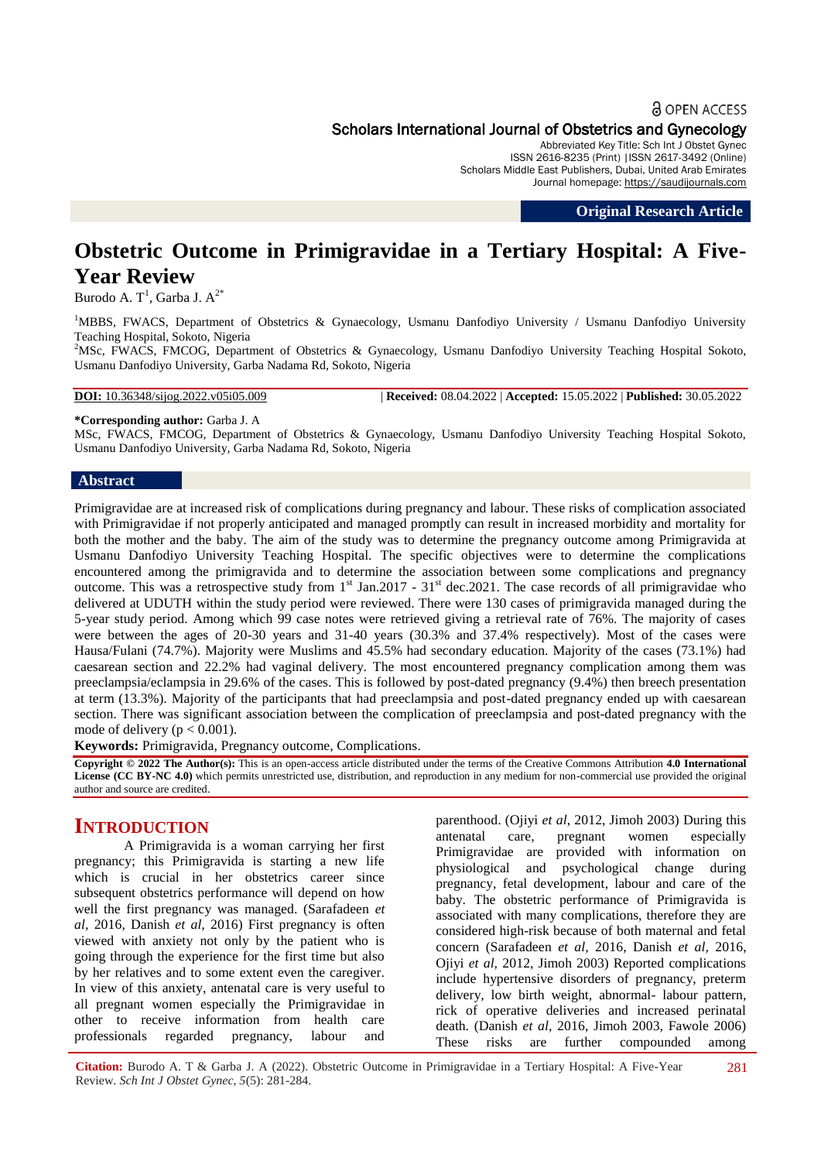#### **a** OPEN ACCESS

Scholars International Journal of Obstetrics and Gynecology

Abbreviated Key Title: Sch Int J Obstet Gynec ISSN 2616-8235 (Print) |ISSN 2617-3492 (Online) Scholars Middle East Publishers, Dubai, United Arab Emirates Journal homepage: [https://saudijournals.com](https://saudijournals.com/sijog)

**Original Research Article**

# **Obstetric Outcome in Primigravidae in a Tertiary Hospital: A Five-Year Review**

Burodo A. T<sup>1</sup>, Garba J.  $A^{2^*}$ 

<sup>1</sup>MBBS, FWACS, Department of Obstetrics & Gynaecology, Usmanu Danfodiyo University / Usmanu Danfodiyo University Teaching Hospital, Sokoto, Nigeria

<sup>2</sup>MSc, FWACS, FMCOG, Department of Obstetrics & Gynaecology, Usmanu Danfodiyo University Teaching Hospital Sokoto, Usmanu Danfodiyo University, Garba Nadama Rd, Sokoto, Nigeria

**DOI:** 10.36348/sijog.2022.v05i05.009 | **Received:** 08.04.2022 | **Accepted:** 15.05.2022 | **Published:** 30.05.2022

# **\*Corresponding author:** Garba J. A

MSc, FWACS, FMCOG, Department of Obstetrics & Gynaecology, Usmanu Danfodiyo University Teaching Hospital Sokoto, Usmanu Danfodiyo University, Garba Nadama Rd, Sokoto, Nigeria

#### **Abstract**

Primigravidae are at increased risk of complications during pregnancy and labour. These risks of complication associated with Primigravidae if not properly anticipated and managed promptly can result in increased morbidity and mortality for both the mother and the baby. The aim of the study was to determine the pregnancy outcome among Primigravida at Usmanu Danfodiyo University Teaching Hospital. The specific objectives were to determine the complications encountered among the primigravida and to determine the association between some complications and pregnancy outcome. This was a retrospective study from  $1<sup>st</sup>$  Jan.2017 - 31 $<sup>st</sup>$  dec.2021. The case records of all primigravidae who</sup> delivered at UDUTH within the study period were reviewed. There were 130 cases of primigravida managed during the 5-year study period. Among which 99 case notes were retrieved giving a retrieval rate of 76%. The majority of cases were between the ages of 20-30 years and 31-40 years (30.3% and 37.4% respectively). Most of the cases were Hausa/Fulani (74.7%). Majority were Muslims and 45.5% had secondary education. Majority of the cases (73.1%) had caesarean section and 22.2% had vaginal delivery. The most encountered pregnancy complication among them was preeclampsia/eclampsia in 29.6% of the cases. This is followed by post-dated pregnancy (9.4%) then breech presentation at term (13.3%). Majority of the participants that had preeclampsia and post-dated pregnancy ended up with caesarean section. There was significant association between the complication of preeclampsia and post-dated pregnancy with the mode of delivery ( $p < 0.001$ ).

**Keywords:** Primigravida, Pregnancy outcome, Complications.

**Copyright © 2022 The Author(s):** This is an open-access article distributed under the terms of the Creative Commons Attribution **4.0 International License (CC BY-NC 4.0)** which permits unrestricted use, distribution, and reproduction in any medium for non-commercial use provided the original author and source are credited.

# **INTRODUCTION**

A Primigravida is a woman carrying her first pregnancy; this Primigravida is starting a new life which is crucial in her obstetrics career since subsequent obstetrics performance will depend on how well the first pregnancy was managed. (Sarafadeen *et al,* 2016, Danish *et al,* 2016) First pregnancy is often viewed with anxiety not only by the patient who is going through the experience for the first time but also by her relatives and to some extent even the caregiver. In view of this anxiety, antenatal care is very useful to all pregnant women especially the Primigravidae in other to receive information from health care professionals regarded pregnancy, labour and

parenthood. (Ojiyi *et al*, 2012, Jimoh 2003) During this antenatal care, pregnant women especially Primigravidae are provided with information on physiological and psychological change during pregnancy, fetal development, labour and care of the baby. The obstetric performance of Primigravida is associated with many complications, therefore they are considered high-risk because of both maternal and fetal concern (Sarafadeen *et al,* 2016, Danish *et al,* 2016, Ojiyi *et al*, 2012, Jimoh 2003) Reported complications include hypertensive disorders of pregnancy, preterm delivery, low birth weight, abnormal- labour pattern, rick of operative deliveries and increased perinatal death. (Danish *et al,* 2016, Jimoh 2003, Fawole 2006) These risks are further compounded among

**Citation:** Burodo A. T & Garba J. A (2022). Obstetric Outcome in Primigravidae in a Tertiary Hospital: A Five-Year Review. *Sch Int J Obstet Gynec, 5*(5): 281-284. 281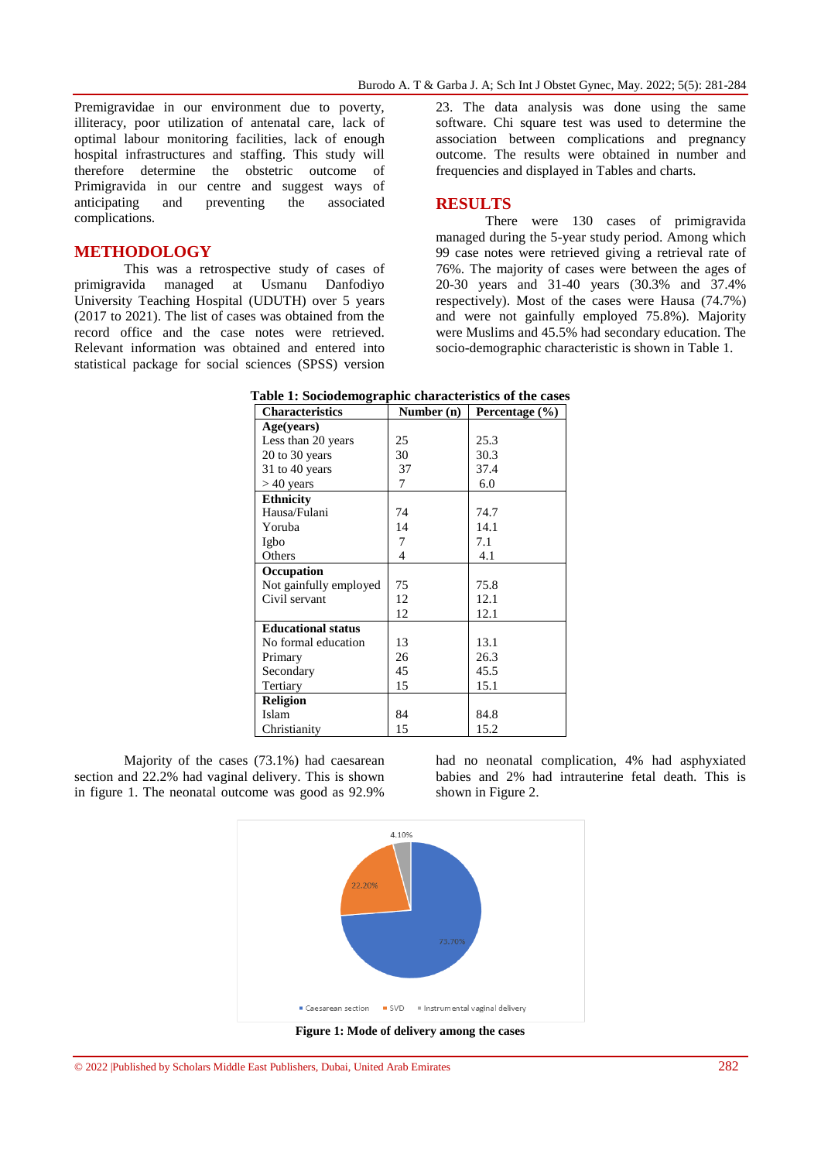Premigravidae in our environment due to poverty, illiteracy, poor utilization of antenatal care, lack of optimal labour monitoring facilities, lack of enough hospital infrastructures and staffing. This study will therefore determine the obstetric outcome of Primigravida in our centre and suggest ways of anticipating and preventing the associated complications.

### **METHODOLOGY**

This was a retrospective study of cases of primigravida managed at Usmanu Danfodiyo University Teaching Hospital (UDUTH) over 5 years (2017 to 2021). The list of cases was obtained from the record office and the case notes were retrieved. Relevant information was obtained and entered into statistical package for social sciences (SPSS) version

23. The data analysis was done using the same software. Chi square test was used to determine the association between complications and pregnancy outcome. The results were obtained in number and frequencies and displayed in Tables and charts.

#### **RESULTS**

There were 130 cases of primigravida managed during the 5-year study period. Among which 99 case notes were retrieved giving a retrieval rate of 76%. The majority of cases were between the ages of 20-30 years and 31-40 years (30.3% and 37.4% respectively). Most of the cases were Hausa (74.7%) and were not gainfully employed 75.8%). Majority were Muslims and 45.5% had secondary education. The socio-demographic characteristic is shown in Table 1.

| <b>Characteristics</b>    | Number (n) | Percentage (%) |  |
|---------------------------|------------|----------------|--|
| Age(years)                |            |                |  |
| Less than 20 years        | 25         | 25.3           |  |
| $20$ to $30$ years        | 30         | 30.3           |  |
| 31 to 40 years            | 37         | 37.4           |  |
| $>40$ years               | 7          | 6.0            |  |
| <b>Ethnicity</b>          |            |                |  |
| Hausa/Fulani              | 74         | 74.7           |  |
| Yoruba                    | 14         | 14.1           |  |
| Igbo                      | 7          | 7.1            |  |
| Others                    | 4          | 4.1            |  |
| Occupation                |            |                |  |
| Not gainfully employed    | 75         | 75.8           |  |
| Civil servant             | 12         | 12.1           |  |
|                           | 12         | 12.1           |  |
| <b>Educational status</b> |            |                |  |
| No formal education       | 13         | 13.1           |  |
| Primary                   | 26         | 26.3           |  |
| Secondary                 | 45         | 45.5           |  |
| Tertiary                  | 15         | 15.1           |  |
| <b>Religion</b>           |            |                |  |
| Islam                     | 84         | 84.8           |  |
| Christianity              | 15         | 15.2           |  |

**Table 1: Sociodemographic characteristics of the cases**

Majority of the cases (73.1%) had caesarean section and 22.2% had vaginal delivery. This is shown in figure 1. The neonatal outcome was good as 92.9%

had no neonatal complication, 4% had asphyxiated babies and 2% had intrauterine fetal death. This is shown in Figure 2.

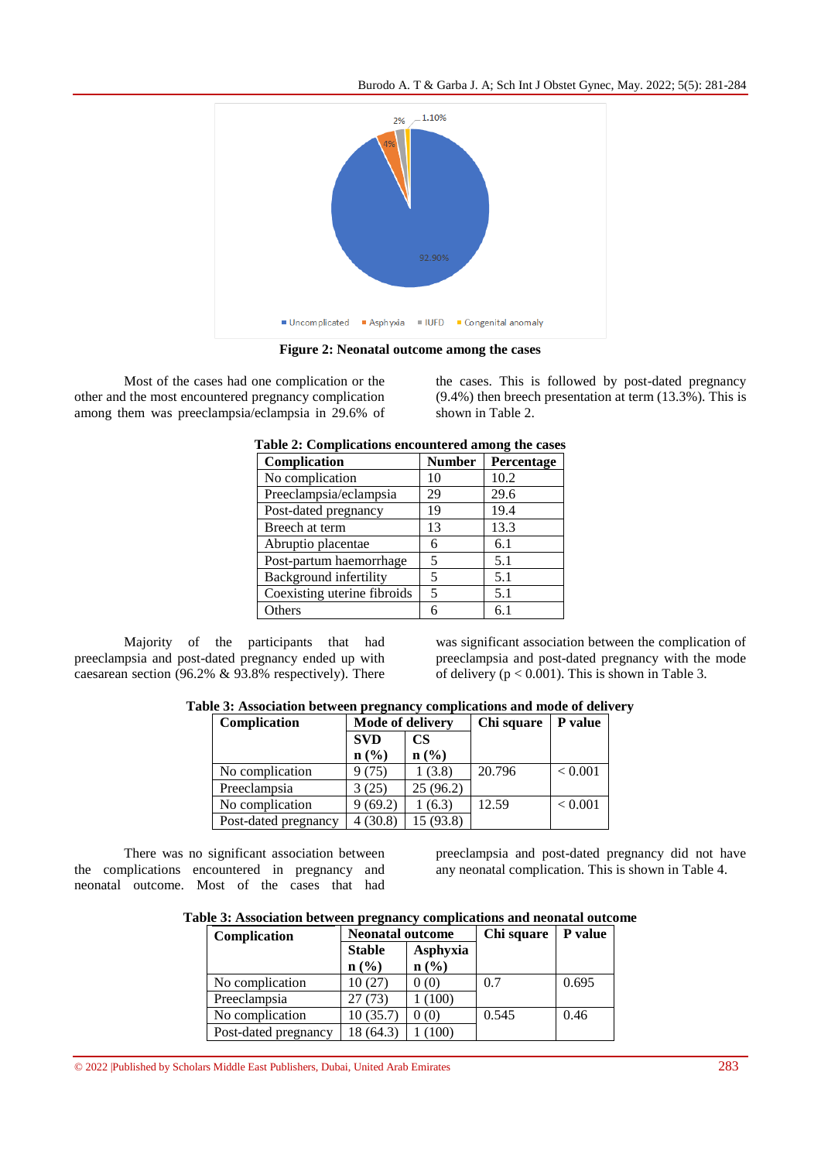Burodo A. T & Garba J. A; Sch Int J Obstet Gynec, May. 2022; 5(5): 281-284



**Figure 2: Neonatal outcome among the cases**

Most of the cases had one complication or the other and the most encountered pregnancy complication among them was preeclampsia/eclampsia in 29.6% of the cases. This is followed by post-dated pregnancy (9.4%) then breech presentation at term (13.3%). This is shown in Table 2.

| Table 2: Complications encountered among the cases |               |            |  |  |  |
|----------------------------------------------------|---------------|------------|--|--|--|
| Complication                                       | <b>Number</b> | Percentage |  |  |  |
| No complication                                    | 10            | 10.2       |  |  |  |
| Preeclampsia/eclampsia                             | 29            | 29.6       |  |  |  |
| Post-dated pregnancy                               | 19            | 19.4       |  |  |  |
| Breech at term                                     | 13            | 13.3       |  |  |  |
| Abruptio placentae                                 | 6             | 6.1        |  |  |  |
| Post-partum haemorrhage                            | 5             | 5.1        |  |  |  |
| Background infertility                             | 5             | 5.1        |  |  |  |
| Coexisting uterine fibroids                        | 5             | 5.1        |  |  |  |
| Others                                             |               | 6.1        |  |  |  |

**Table 2: Complications encountered among the cases**

Majority of the participants that had preeclampsia and post-dated pregnancy ended up with caesarean section (96.2% & 93.8% respectively). There was significant association between the complication of preeclampsia and post-dated pregnancy with the mode of delivery ( $p < 0.001$ ). This is shown in Table 3.

| Table 3: Association between pregnancy complications and mode of delivery |  |  |  |
|---------------------------------------------------------------------------|--|--|--|
|                                                                           |  |  |  |

| Complication         | <b>Mode of delivery</b> |                             | Chi square | P value |
|----------------------|-------------------------|-----------------------------|------------|---------|
|                      | <b>SVD</b>              | <b>CS</b>                   |            |         |
|                      | n(%)                    | $n\left(\frac{0}{0}\right)$ |            |         |
| No complication      | 9(75)                   | (3.8)                       | 20.796     | < 0.001 |
| Preeclampsia         | 3 (25)                  | 25(96.2)                    |            |         |
| No complication      | (69.2)                  | (6.3)                       | 12.59      | < 0.001 |
| Post-dated pregnancy | (30.8)                  | 15 (93.8)                   |            |         |

There was no significant association between the complications encountered in pregnancy and neonatal outcome. Most of the cases that had

preeclampsia and post-dated pregnancy did not have any neonatal complication. This is shown in Table 4.

# **Table 3: Association between pregnancy complications and neonatal outcome**

| Complication         | <b>Neonatal outcome</b> |                             | Chi square | <b>P</b> value |
|----------------------|-------------------------|-----------------------------|------------|----------------|
|                      | <b>Stable</b>           | Asphyxia                    |            |                |
|                      | $n$ (%)                 | $n\left(\frac{9}{6}\right)$ |            |                |
| No complication      | 10(27)                  | 0(0)                        | 0.7        | 0.695          |
| Preeclampsia         | 27(73)                  | 1(100)                      |            |                |
| No complication      | 10(35.7)                | (0(0)                       | 0.545      | 0.46           |
| Post-dated pregnancy | 18 (64.3)               | (100)                       |            |                |